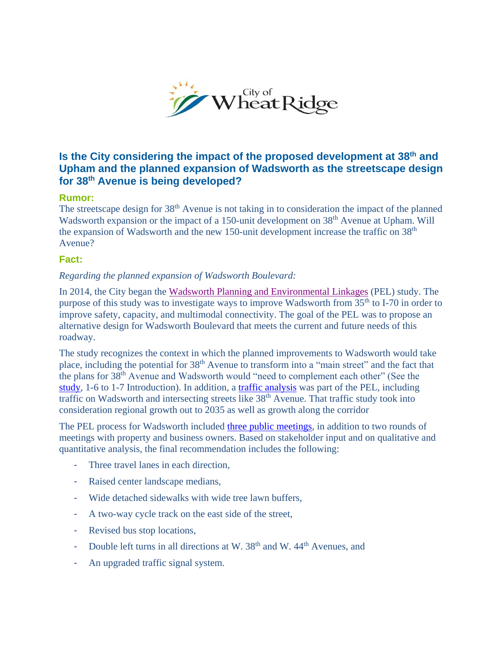

## **Is the City considering the impact of the proposed development at 38th and Upham and the planned expansion of Wadsworth as the streetscape design for 38th Avenue is being developed?**

## **Rumor:**

The streetscape design for 38<sup>th</sup> Avenue is not taking in to consideration the impact of the planned Wadsworth expansion or the impact of a 150-unit development on 38<sup>th</sup> Avenue at Upham. Will the expansion of Wadsworth and the new 150-unit development increase the traffic on 38th Avenue?

## **Fact:**

## *Regarding the planned expansion of Wadsworth Boulevard:*

In 2014, the City began the [Wadsworth Planning and Environmental Linkages](http://www.ci.wheatridge.co.us/DocumentCenter/View/23520) (PEL) study. The purpose of this study was to investigate ways to improve Wadsworth from  $35<sup>th</sup>$  to I-70 in order to improve safety, capacity, and multimodal connectivity. The goal of the PEL was to propose an alternative design for Wadsworth Boulevard that meets the current and future needs of this roadway.

The study recognizes the context in which the planned improvements to Wadsworth would take place, including the potential for 38<sup>th</sup> Avenue to transform into a "main street" and the fact that the plans for 38th Avenue and Wadsworth would "need to complement each other" (See the [study,](http://www.ci.wheatridge.co.us/DocumentCenter/View/23520) 1-6 to 1-7 Introduction). In addition, a [traffic analysis](http://www.ci.wheatridge.co.us/DocumentCenter/View/23528) was part of the PEL, including traffic on Wadsworth and intersecting streets like 38<sup>th</sup> Avenue. That traffic study took into consideration regional growth out to 2035 as well as growth along the corridor

The PEL process for Wadsworth included [three public meetings,](http://www.ci.wheatridge.co.us/1254/Public-Meetings) in addition to two rounds of meetings with property and business owners. Based on stakeholder input and on qualitative and quantitative analysis, the final recommendation includes the following:

- Three travel lanes in each direction,
- Raised center landscape medians,
- Wide detached sidewalks with wide tree lawn buffers,
- A two-way cycle track on the east side of the street,
- Revised bus stop locations,
- Double left turns in all directions at W.  $38<sup>th</sup>$  and W.  $44<sup>th</sup>$  Avenues, and
- An upgraded traffic signal system.